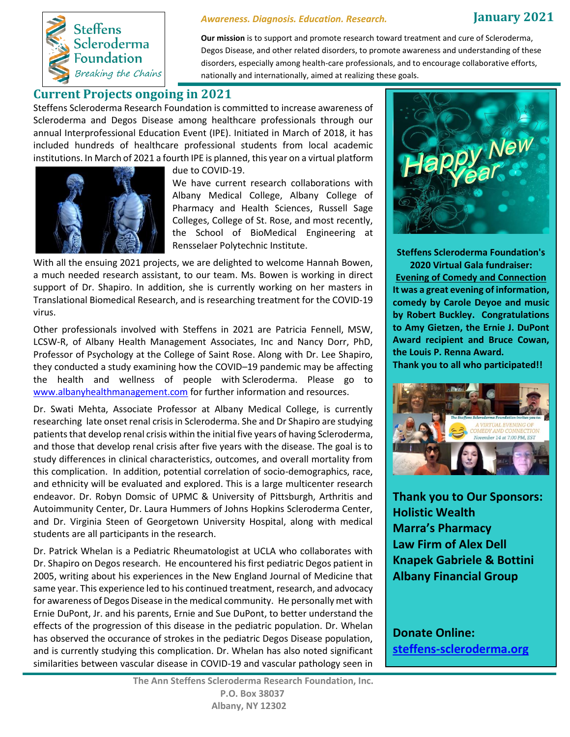

#### *Awareness. Diagnosis. Education. Research.*

## **January 2021**

**Our mission** is to support and promote research toward treatment and cure of Scleroderma, Degos Disease, and other related disorders, to promote awareness and understanding of these disorders, especially among health-care professionals, and to encourage collaborative efforts, nationally and internationally, aimed at realizing these goals.

# **Current Projects ongoing in 2021**

Steffens Scleroderma Research Foundation is committed to increase awareness of Scleroderma and Degos Disease among healthcare professionals through our annual Interprofessional Education Event (IPE). Initiated in March of 2018, it has included hundreds of healthcare professional students from local academic institutions. In March of 2021 a fourth IPE is planned, this year on a virtual platform



due to COVID-19.

We have current research collaborations with Albany Medical College, Albany College of Pharmacy and Health Sciences, Russell Sage Colleges, College of St. Rose, and most recently, the School of BioMedical Engineering at Rensselaer Polytechnic Institute.

With all the ensuing 2021 projects, we are delighted to welcome Hannah Bowen, a much needed research assistant, to our team. Ms. Bowen is working in direct support of Dr. Shapiro. In addition, she is currently working on her masters in Translational Biomedical Research, and is researching treatment for the COVID-19 virus.

Other professionals involved with Steffens in 2021 are Patricia Fennell, MSW, LCSW-R, of Albany Health Management Associates, Inc and Nancy Dorr, PhD, Professor of Psychology at the College of Saint Rose. Along with Dr. Lee Shapiro, they conducted a study examining how the COVID–19 pandemic may be affecting the health and wellness of people with Scleroderma. Please go to www.albanyhealthmanagement.com for further information and resources.

Dr. Swati Mehta, Associate Professor at Albany Medical College, is currently researching late onset renal crisis in Scleroderma. She and Dr Shapiro are studying patients that develop renal crisis within the initial five years of having Scleroderma, and those that develop renal crisis after five years with the disease. The goal is to study differences in clinical characteristics, outcomes, and overall mortality from this complication. In addition, potential correlation of socio-demographics, race, and ethnicity will be evaluated and explored. This is a large multicenter research endeavor. Dr. Robyn Domsic of UPMC & University of Pittsburgh, Arthritis and Autoimmunity Center, Dr. Laura Hummers of Johns Hopkins Scleroderma Center, and Dr. Virginia Steen of Georgetown University Hospital, along with medical students are all participants in the research.

Dr. Patrick Whelan is a Pediatric Rheumatologist at UCLA who collaborates with Dr. Shapiro on Degos research. He encountered his first pediatric Degos patient in 2005, writing about his experiences in the New England Journal of Medicine that same year. This experience led to his continued treatment, research, and advocacy for awareness of Degos Disease in the medical community. He personally met with Ernie DuPont, Jr. and his parents, Ernie and Sue DuPont, to better understand the effects of the progression of this disease in the pediatric population. Dr. Whelan has observed the occurance of strokes in the pediatric Degos Disease population, and is currently studying this complication. Dr. Whelan has also noted significant similarities between vascular disease in COVID-19 and vascular pathology seen in



**Steffens Scleroderma Foundation's 2020 Virtual Gala fundraiser: Evening of Comedy and Connection It was a great evening of information, comedy by Carole Deyoe and music by Robert Buckley. Congratulations to Amy Gietzen, the Ernie J. DuPont Award recipient and Bruce Cowan, the Louis P. Renna Award.** 

**Thank you to all who participated!!**



**Thank you to Our Sponsors: Holistic Wealth Marra's Pharmacy Law Firm of Alex Dell Knapek Gabriele & Bottini Albany Financial Group**

**Donate Online: steffens-scleroderma.org**

**The Ann Steffens Scleroderma Research Foundation, Inc. P.O. Box 38037 Albany, NY 12302**